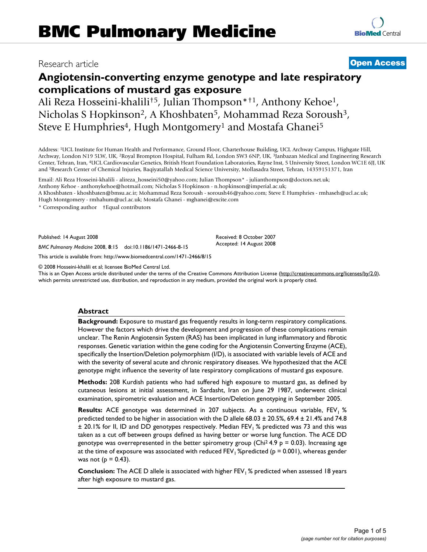# Research article **[Open Access](http://www.biomedcentral.com/info/about/charter/)**

# **Angiotensin-converting enzyme genotype and late respiratory complications of mustard gas exposure**

Ali Reza Hosseini-khalili†5, Julian Thompson\*†1, Anthony Kehoe1, Nicholas S Hopkinson<sup>2</sup>, A Khoshbaten<sup>5</sup>, Mohammad Reza Soroush<sup>3</sup>, Steve E Humphries<sup>4</sup>, Hugh Montgomery<sup>1</sup> and Mostafa Ghanei<sup>5</sup>

Address: 1UCL Institute for Human Health and Performance, Ground Floor, Charterhouse Building, UCL Archway Campus, Highgate Hill, Archway, London N19 5LW, UK, 2Royal Brompton Hospital, Fulham Rd, London SW3 6NP, UK, 3Janbazan Medical and Engineering Research Center, Tehran, Iran, 4UCL Cardiovascular Genetics, British Heart Foundation Laboratories, Rayne Inst, 5 University Street, London WC1E 6JJ, UK and 5Research Center of Chemical Injuries, Baqiyatallah Medical Science University, Mollasadra Street, Tehran, 14359151371, Iran

Email: Ali Reza Hosseini-khalili - alireza\_hosseini50@yahoo.com; Julian Thompson\* - julianthompson@doctors.net.uk; Anthony Kehoe - anthonykehoe@hotmail.com; Nicholas S Hopkinson - n.hopkinson@imperial.ac.uk; A Khoshbaten - khoshbaten@bmsu.ac.ir; Mohammad Reza Soroush - soroush46@yahoo.com; Steve E Humphries - rmhaseh@ucl.ac.uk; Hugh Montgomery - rmhahum@ucl.ac.uk; Mostafa Ghanei - mghanei@excite.com

\* Corresponding author †Equal contributors

Published: 14 August 2008

*BMC Pulmonary Medicine* 2008, **8**:15 doi:10.1186/1471-2466-8-15

[This article is available from: http://www.biomedcentral.com/1471-2466/8/15](http://www.biomedcentral.com/1471-2466/8/15)

© 2008 Hosseini-khalili et al; licensee BioMed Central Ltd.

This is an Open Access article distributed under the terms of the Creative Commons Attribution License [\(http://creativecommons.org/licenses/by/2.0\)](http://creativecommons.org/licenses/by/2.0), which permits unrestricted use, distribution, and reproduction in any medium, provided the original work is properly cited.

Received: 8 October 2007 Accepted: 14 August 2008

# **Abstract**

**Background:** Exposure to mustard gas frequently results in long-term respiratory complications. However the factors which drive the development and progression of these complications remain unclear. The Renin Angiotensin System (RAS) has been implicated in lung inflammatory and fibrotic responses. Genetic variation within the gene coding for the Angiotensin Converting Enzyme (ACE), specifically the Insertion/Deletion polymorphism (I/D), is associated with variable levels of ACE and with the severity of several acute and chronic respiratory diseases. We hypothesized that the ACE genotype might influence the severity of late respiratory complications of mustard gas exposure.

**Methods:** 208 Kurdish patients who had suffered high exposure to mustard gas, as defined by cutaneous lesions at initial assessment, in Sardasht, Iran on June 29 1987, underwent clinical examination, spirometric evaluation and ACE Insertion/Deletion genotyping in September 2005.

**Results:** ACE genotype was determined in 207 subjects. As a continuous variable, FEV<sub>1</sub> % predicted tended to be higher in association with the D allele 68.03 ± 20.5%, 69.4 ± 21.4% and 74.8  $±$  20.1% for II, ID and DD genotypes respectively. Median FEV<sub>1</sub>% predicted was 73 and this was taken as a cut off between groups defined as having better or worse lung function. The ACE DD genotype was overrepresented in the better spirometry group (Chi<sup>2</sup> 4.9 p = 0.03). Increasing age at the time of exposure was associated with reduced FEV<sub>1</sub> %predicted ( $p = 0.001$ ), whereas gender was not ( $p = 0.43$ ).

**Conclusion:** The ACE D allele is associated with higher FEV<sub>1</sub> % predicted when assessed 18 years after high exposure to mustard gas.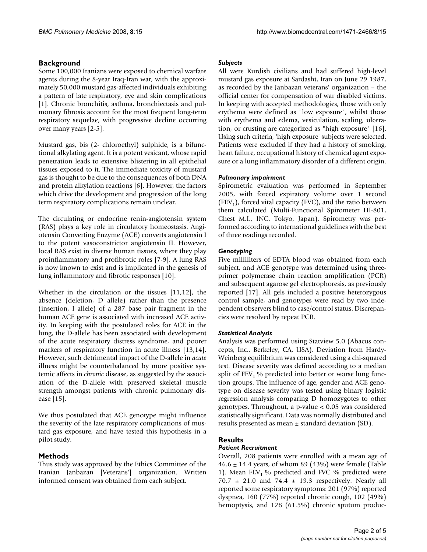# **Background**

Some 100,000 Iranians were exposed to chemical warfare agents during the 8-year Iraq-Iran war, with the approximately 50,000 mustard gas-affected individuals exhibiting a pattern of late respiratory, eye and skin complications [1]. Chronic bronchitis, asthma, bronchiectasis and pulmonary fibrosis account for the most frequent long-term respiratory sequelae, with progressive decline occurring over many years [2-5].

Mustard gas, bis (2- chloroethyl) sulphide, is a bifunctional alkylating agent. It is a potent vesicant, whose rapid penetration leads to extensive blistering in all epithelial tissues exposed to it. The immediate toxicity of mustard gas is thought to be due to the consequences of both DNA and protein alkylation reactions [6]. However, the factors which drive the development and progression of the long term respiratory complications remain unclear.

The circulating or endocrine renin-angiotensin system (RAS) plays a key role in circulatory homeostasis. Angiotensin Converting Enzyme (ACE) converts angiotensin I to the potent vasoconstrictor angiotensin II. However, local RAS exist in diverse human tissues, where they play proinflammatory and profibrotic roles [7-9]. A lung RAS is now known to exist and is implicated in the genesis of lung inflammatory and fibrotic responses [10].

Whether in the circulation or the tissues [11,12], the absence (deletion, D allele) rather than the presence (insertion, I allele) of a 287 base pair fragment in the human ACE gene is associated with increased ACE activity. In keeping with the postulated roles for ACE in the lung, the D-allele has been associated with development of the acute respiratory distress syndrome, and poorer markers of respiratory function in acute illness [13,14]. However, such detrimental impact of the D-allele in *acute* illness might be counterbalanced by more positive systemic affects in *chronic* disease, as suggested by the association of the D-allele with preserved skeletal muscle strength amongst patients with chronic pulmonary disease [15].

We thus postulated that ACE genotype might influence the severity of the late respiratory complications of mustard gas exposure, and have tested this hypothesis in a pilot study.

# **Methods**

Thus study was approved by the Ethics Committee of the Iranian Janbazan [Veterans'] organization. Written informed consent was obtained from each subject.

# *Subjects*

All were Kurdish civilians and had suffered high-level mustard gas exposure at Sardasht, Iran on June 29 1987, as recorded by the Janbazan veterans' organization – the official center for compensation of war disabled victims. In keeping with accepted methodologies, those with only erythema were defined as "low exposure", whilst those with erythema and edema, vesiculation, scaling, ulceration, or crusting are categorized as "high exposure" [16]. Using such criteria, 'high exposure' subjects were selected. Patients were excluded if they had a history of smoking, heart failure, occupational history of chemical agent exposure or a lung inflammatory disorder of a different origin.

# *Pulmonary impairment*

Spirometric evaluation was performed in September 2005, with forced expiratory volume over 1 second  $(FEV<sub>1</sub>)$ , forced vital capacity (FVC), and the ratio between them calculated (Multi-Functional Spirometer HI-801, Chest M.I., INC, Tokyo, Japan). Spirometry was performed according to international guidelines with the best of three readings recorded.

# *Genotyping*

Five milliliters of EDTA blood was obtained from each subject, and ACE genotype was determined using threeprimer polymerase chain reaction amplification (PCR) and subsequent agarose gel electrophoresis, as previously reported [17]. All gels included a positive heterozygous control sample, and genotypes were read by two independent observers blind to case/control status. Discrepancies were resolved by repeat PCR.

# *Statistical Analysis*

Analysis was performed using Statview 5.0 (Abacus concepts, Inc., Berkeley, CA, USA). Deviation from Hardy-Weinberg equilibrium was considered using a chi-squared test. Disease severity was defined according to a median split of  $FEV<sub>1</sub>$ % predicted into better or worse lung function groups. The influence of age, gender and ACE genotype on disease severity was tested using binary logistic regression analysis comparing D homozygotes to other genotypes. Throughout, a p-value < 0.05 was considered statistically significant. Data was normally distributed and results presented as mean ± standard deviation (SD).

# **Results**

# *Patient Recruitment*

Overall, 208 patients were enrolled with a mean age of  $46.6 \pm 14.4$  years, of whom 89 (43%) were female (Table 1). Mean  $FEV<sub>1</sub>$  % predicted and FVC % predicted were  $70.7 \pm 21.0$  and  $74.4 \pm 19.3$  respectively. Nearly all reported some respiratory symptoms: 201 (97%) reported dyspnea, 160 (77%) reported chronic cough, 102 (49%) hemoptysis, and 128 (61.5%) chronic sputum produc-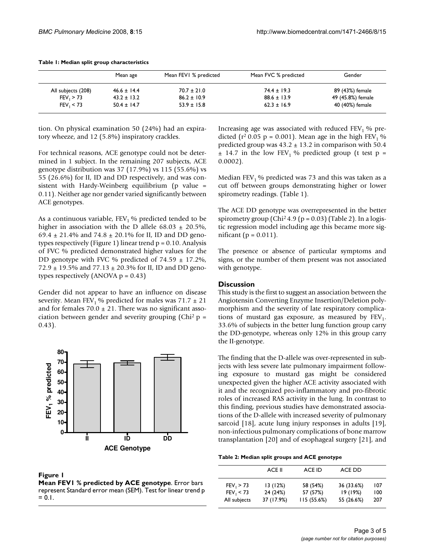|                       | Mean age        | Mean FEVI % predicted | Mean FVC % predicted | Gender            |
|-----------------------|-----------------|-----------------------|----------------------|-------------------|
| All subjects (208)    | $46.6 \pm 14.4$ | $70.7 \pm 21.0$       | $74.4 \pm 19.3$      | 89 (43%) female   |
| FEV <sub>1</sub> > 73 | $43.2 \pm 13.2$ | $86.2 \pm 10.9$       | $88.6 \pm 13.9$      | 49 (45.8%) female |
| FEV <sub>1</sub> < 73 | $50.4 \pm 14.7$ | $53.9 \pm 15.8$       | $62.3 \pm 16.9$      | 40 (40%) female   |

#### **Table 1: Median split group characteristics**

tion. On physical examination 50 (24%) had an expiratory wheeze, and 12 (5.8%) inspiratory crackles.

For technical reasons, ACE genotype could not be determined in 1 subject. In the remaining 207 subjects, ACE genotype distribution was 37 (17.9%) vs 115 (55.6%) vs 55 (26.6%) for II, ID and DD respectively, and was consistent with Hardy-Weinberg equilibrium (p value = 0.11). Neither age nor gender varied significantly between ACE genotypes.

As a continuous variable,  $FEV<sub>1</sub>$ % predicted tended to be higher in association with the D allele 68.03  $\pm$  20.5%, 69.4  $\pm$  21.4% and 74.8  $\pm$  20.1% for II, ID and DD genotypes respectively (Figure 1) linear trend  $p = 0.10$ . Analysis of FVC % predicted demonstrated higher values for the DD genotype with FVC % predicted of  $74.59 \pm 17.2$ %,  $72.9 \pm 19.5\%$  and  $77.13 \pm 20.3\%$  for II, ID and DD genotypes respectively (ANOVA  $p = 0.43$ )

Gender did not appear to have an influence on disease severity. Mean FEV<sub>1</sub> % predicted for males was  $71.7 \pm 21$ and for females  $70.0 \pm 21$ . There was no significant association between gender and severity grouping (Chi<sup>2</sup> p = 0.43).



#### **Figure 1**

**Mean FEV1 % predicted by ACE genotype**. Error bars represent Standard error mean (SEM). Test for linear trend p  $= 0.1.$ 

Increasing age was associated with reduced  $FEV<sub>1</sub>$ % predicted ( $r^2$  0.05 p = 0.001). Mean age in the high FEV<sub>1</sub> % predicted group was  $43.2 \pm 13.2$  in comparison with 50.4  $\pm$  14.7 in the low FEV<sub>1</sub> % predicted group (t test p = 0.0002).

Median FEV<sub>1</sub> % predicted was 73 and this was taken as a cut off between groups demonstrating higher or lower spirometry readings. (Table 1).

The ACE DD genotype was overrepresented in the better spirometry group (Chi<sup>2</sup> 4.9 (p = 0.03) (Table 2). In a logistic regression model including age this became more significant ( $p = 0.011$ ).

The presence or absence of particular symptoms and signs, or the number of them present was not associated with genotype.

#### **Discussion**

This study is the first to suggest an association between the Angiotensin Converting Enzyme Insertion/Deletion polymorphism and the severity of late respiratory complications of mustard gas exposure, as measured by  $FEV<sub>1</sub>$ . 33.6% of subjects in the better lung function group carry the DD-genotype, whereas only 12% in this group carry the II-genotype.

The finding that the D-allele was over-represented in subjects with less severe late pulmonary impairment following exposure to mustard gas might be considered unexpected given the higher ACE activity associated with it and the recognized pro-inflammatory and pro-fibrotic roles of increased RAS activity in the lung. In contrast to this finding, previous studies have demonstrated associations of the D-allele with increased severity of pulmonary sarcoid [18], acute lung injury responses in adults [19], non-infectious pulmonary complications of bone marrow transplantation [20] and of esophageal surgery [21], and

**Table 2: Median split groups and ACE genotype**

|                       | ACE II     | ACE ID     | ACE DD     |     |
|-----------------------|------------|------------|------------|-----|
| $FEV_1 > 73$          | 13(12%)    | 58 (54%)   | 36 (33.6%) | 107 |
| FEV <sub>1</sub> < 73 | 24 (24%)   | 57 (57%)   | 19(19%)    | 100 |
| All subjects          | 37 (17.9%) | 115(55.6%) | 55 (26.6%) | 207 |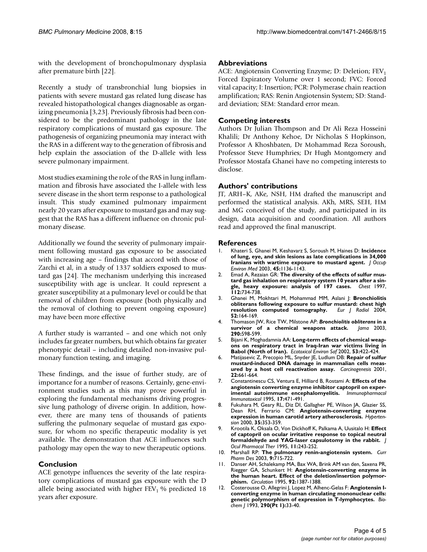with the development of bronchopulmonary dysplasia after premature birth [22].

Recently a study of transbronchial lung biopsies in patients with severe mustard gas related lung disease has revealed histopathological changes diagnosable as organizing pneumonia [3,23]. Previously fibrosis had been considered to be the predominant pathology in the late respiratory complications of mustard gas exposure. The pathogenesis of organizing pneumonia may interact with the RAS in a different way to the generation of fibrosis and help explain the association of the D-allele with less severe pulmonary impairment.

Most studies examining the role of the RAS in lung inflammation and fibrosis have associated the I-allele with less severe disease in the short term response to a pathological insult. This study examined pulmonary impairment nearly 20 years after exposure to mustard gas and may suggest that the RAS has a different influence on chronic pulmonary disease.

Additionally we found the severity of pulmonary impairment following mustard gas exposure to be associated with increasing age – findings that accord with those of Zarchi et al, in a study of 1337 soldiers exposed to mustard gas [24]. The mechanism underlying this increased susceptibility with age is unclear. It could represent a greater susceptibility at a pulmonary level or could be that removal of children from exposure (both physically and the removal of clothing to prevent ongoing exposure) may have been more effective

A further study is warranted – and one which not only includes far greater numbers, but which obtains far greater phenotypic detail – including detailed non-invasive pulmonary function testing, and imaging.

These findings, and the issue of further study, are of importance for a number of reasons. Certainly, gene-environment studies such as this may prove powerful in exploring the fundamental mechanisms driving progressive lung pathology of diverse origin. In addition, however, there are many tens of thousands of patients suffering the pulmonary sequelae of mustard gas exposure, for whom no specific therapeutic modality is yet available. The demonstration that ACE influences such pathology may open the way to new therapeutic options.

# **Conclusion**

ACE genotype influences the severity of the late respiratory complications of mustard gas exposure with the D allele being associated with higher  $FEV<sub>1</sub>$ % predicted 18 years after exposure.

#### **Abbreviations**

ACE: Angiotensin Converting Enzyme; D: Deletion;  $FEV<sub>1</sub>$ Forced Expiratory Volume over 1 second; FVC: Forced vital capacity; I: Insertion; PCR: Polymerase chain reaction amplification; RAS: Renin Angiotensin System; SD: Standard deviation; SEM: Standard error mean.

#### **Competing interests**

Authors Dr Julian Thompson and Dr Ali Reza Hosseini Khalili; Dr Anthony Kehoe, Dr Nicholas S Hopkinson, Professor A Khoshbaten, Dr Mohammad Reza Soroush, Professor Steve Humphries; Dr Hugh Montgomery and Professor Mostafa Ghanei have no competing interests to disclose.

#### **Authors' contributions**

JT, ARH–K, AKe, NSH, HM drafted the manuscript and performed the statistical analysis. AKh, MRS, SEH, HM and MG conceived of the study, and participated in its design, data acquisition and coordination. All authors read and approved the final manuscript.

#### **References**

- 1. Khateri S, Ghanei M, Keshavarz S, Soroush M, Haines D: **[Incidence](http://www.ncbi.nlm.nih.gov/entrez/query.fcgi?cmd=Retrieve&db=PubMed&dopt=Abstract&list_uids=14610394) [of lung, eye, and skin lesions as late complications in 34,000](http://www.ncbi.nlm.nih.gov/entrez/query.fcgi?cmd=Retrieve&db=PubMed&dopt=Abstract&list_uids=14610394) [Iranians with wartime exposure to mustard agent.](http://www.ncbi.nlm.nih.gov/entrez/query.fcgi?cmd=Retrieve&db=PubMed&dopt=Abstract&list_uids=14610394)** *J Occup Environ Med* 2003, **45:**1136-1143.
- 2. Emad A, Rezaian GR: **[The diversity of the effects of sulfur mus](http://www.ncbi.nlm.nih.gov/entrez/query.fcgi?cmd=Retrieve&db=PubMed&dopt=Abstract&list_uids=9315808)[tard gas inhalation on respiratory system 10 years after a sin](http://www.ncbi.nlm.nih.gov/entrez/query.fcgi?cmd=Retrieve&db=PubMed&dopt=Abstract&list_uids=9315808)[gle, heavy exposure: analysis of 197 cases.](http://www.ncbi.nlm.nih.gov/entrez/query.fcgi?cmd=Retrieve&db=PubMed&dopt=Abstract&list_uids=9315808)** *Chest* 1997, **112:**734-738.
- 3. Ghanei M, Mokhtari M, Mohammad MM, Aslani J: **[Bronchiolitis](http://www.ncbi.nlm.nih.gov/entrez/query.fcgi?cmd=Retrieve&db=PubMed&dopt=Abstract&list_uids=15489074) [obliterans following exposure to sulfur mustard: chest high](http://www.ncbi.nlm.nih.gov/entrez/query.fcgi?cmd=Retrieve&db=PubMed&dopt=Abstract&list_uids=15489074) [resolution computed tomography.](http://www.ncbi.nlm.nih.gov/entrez/query.fcgi?cmd=Retrieve&db=PubMed&dopt=Abstract&list_uids=15489074)** *Eur J Radiol* 2004, **52:**164-169.
- 4. Thomason JW, Rice TW, Milstone AP: *Bronchiolitis obliterans* **[in a](http://www.ncbi.nlm.nih.gov/entrez/query.fcgi?cmd=Retrieve&db=PubMed&dopt=Abstract&list_uids=12902361) [survivor of a chemical weapons attack.](http://www.ncbi.nlm.nih.gov/entrez/query.fcgi?cmd=Retrieve&db=PubMed&dopt=Abstract&list_uids=12902361)** *Jama* 2003, **290:**598-599.
- 5. Bijani K, Moghadamnia AA: **[Long-term effects of chemical weap](http://www.ncbi.nlm.nih.gov/entrez/query.fcgi?cmd=Retrieve&db=PubMed&dopt=Abstract&list_uids=12485587)[ons on respiratory tract in Iraq-Iran war victims living in](http://www.ncbi.nlm.nih.gov/entrez/query.fcgi?cmd=Retrieve&db=PubMed&dopt=Abstract&list_uids=12485587) [Babol \(North of Iran\).](http://www.ncbi.nlm.nih.gov/entrez/query.fcgi?cmd=Retrieve&db=PubMed&dopt=Abstract&list_uids=12485587)** *Ecotoxicol Environ Saf* 2002, **53:**422-424.
- 6. Matijasevic Z, Precopio ML, Snyder JE, Ludlum DB: **[Repair of sulfur](http://www.ncbi.nlm.nih.gov/entrez/query.fcgi?cmd=Retrieve&db=PubMed&dopt=Abstract&list_uids=11285203) [mustard-induced DNA damage in mammalian cells meas](http://www.ncbi.nlm.nih.gov/entrez/query.fcgi?cmd=Retrieve&db=PubMed&dopt=Abstract&list_uids=11285203)[ured by a host cell reactivation assay.](http://www.ncbi.nlm.nih.gov/entrez/query.fcgi?cmd=Retrieve&db=PubMed&dopt=Abstract&list_uids=11285203)** *Carcinogenesis* 2001, **22:**661-664.
- 7. Constantinescu CS, Ventura E, Hilliard B, Rostami A: **[Effects of the](http://www.ncbi.nlm.nih.gov/entrez/query.fcgi?cmd=Retrieve&db=PubMed&dopt=Abstract&list_uids=8576541) [angiotensin converting enzyme inhibitor captopril on exper](http://www.ncbi.nlm.nih.gov/entrez/query.fcgi?cmd=Retrieve&db=PubMed&dopt=Abstract&list_uids=8576541)[imental autoimmune encephalomyelitis.](http://www.ncbi.nlm.nih.gov/entrez/query.fcgi?cmd=Retrieve&db=PubMed&dopt=Abstract&list_uids=8576541)** *Immunopharmacol Immunotoxicol* 1995, **17:**471-491.
- 8. Fukuhara M, Geary RL, Diz DI, Gallagher PE, Wilson JA, Glazier SS, Dean RH, Ferrario CM: **[Angiotensin-converting enzyme](http://www.ncbi.nlm.nih.gov/entrez/query.fcgi?cmd=Retrieve&db=PubMed&dopt=Abstract&list_uids=10642324) [expression in human carotid artery atherosclerosis.](http://www.ncbi.nlm.nih.gov/entrez/query.fcgi?cmd=Retrieve&db=PubMed&dopt=Abstract&list_uids=10642324)** *Hypertension* 2000, **35:**353-359.
- 9. Krootila K, Oksala O, Von Dickhoff K, Palkama A, Uusitalo H: **[Effect](http://www.ncbi.nlm.nih.gov/entrez/query.fcgi?cmd=Retrieve&db=PubMed&dopt=Abstract&list_uids=8590256) [of captopril on ocular irritative response to topical neutral](http://www.ncbi.nlm.nih.gov/entrez/query.fcgi?cmd=Retrieve&db=PubMed&dopt=Abstract&list_uids=8590256) [formaldehyde and YAG-laser capsulotomy in the rabbit.](http://www.ncbi.nlm.nih.gov/entrez/query.fcgi?cmd=Retrieve&db=PubMed&dopt=Abstract&list_uids=8590256)** *J Ocul Pharmacol Ther* 1995, **11:**243-252.
- 10. Marshall RP: **[The pulmonary renin-angiotensin system.](http://www.ncbi.nlm.nih.gov/entrez/query.fcgi?cmd=Retrieve&db=PubMed&dopt=Abstract&list_uids=12570789)** *Curr Pharm Des* 2003, **9:**715-722.
- 11. Danser AH, Schalekamp MA, Bax WA, Brink AM van den, Saxena PR, Riegger GA, Schunkert H: **[Angiotensin-converting enzyme in](http://www.ncbi.nlm.nih.gov/entrez/query.fcgi?cmd=Retrieve&db=PubMed&dopt=Abstract&list_uids=7664416) [the human heart. Effect of the deletion/insertion polymor](http://www.ncbi.nlm.nih.gov/entrez/query.fcgi?cmd=Retrieve&db=PubMed&dopt=Abstract&list_uids=7664416)[phism.](http://www.ncbi.nlm.nih.gov/entrez/query.fcgi?cmd=Retrieve&db=PubMed&dopt=Abstract&list_uids=7664416)** *Circulation* 1995, **92:**1387-1388.
- 12. Costerousse O, Allegrini J, Lopez M, Alhenc-Gelas F: **[Angiotensin I](http://www.ncbi.nlm.nih.gov/entrez/query.fcgi?cmd=Retrieve&db=PubMed&dopt=Abstract&list_uids=8382480)[converting enzyme in human circulating mononuclear cells:](http://www.ncbi.nlm.nih.gov/entrez/query.fcgi?cmd=Retrieve&db=PubMed&dopt=Abstract&list_uids=8382480) [genetic polymorphism of expression in T-lymphocytes.](http://www.ncbi.nlm.nih.gov/entrez/query.fcgi?cmd=Retrieve&db=PubMed&dopt=Abstract&list_uids=8382480)** *Biochem J* 1993, **290(Pt 1):**33-40.